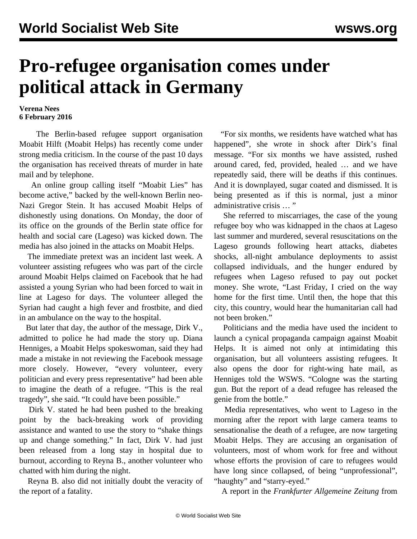## **Pro-refugee organisation comes under political attack in Germany**

**Verena Nees 6 February 2016**

 The Berlin-based refugee support organisation Moabit Hilft (Moabit Helps) has recently come under strong media criticism. In the course of the past 10 days the organisation has received threats of murder in hate mail and by telephone.

 An online group calling itself "Moabit Lies" has become active," backed by the well-known Berlin neo-Nazi Gregor Stein. It has accused Moabit Helps of dishonestly using donations. On Monday, the door of its office on the grounds of the Berlin state office for health and social care (Lageso) was kicked down. The media has also joined in the attacks on Moabit Helps.

 The immediate pretext was an incident last week. A volunteer assisting refugees who was part of the circle around Moabit Helps claimed on Facebook that he had assisted a young Syrian who had been forced to wait in line at Lageso for days. The volunteer alleged the Syrian had caught a high fever and frostbite, and died in an ambulance on the way to the hospital.

 But later that day, the author of the message, Dirk V., admitted to police he had made the story up. Diana Henniges, a Moabit Helps spokeswoman, said they had made a mistake in not reviewing the Facebook message more closely. However, "every volunteer, every politician and every press representative" had been able to imagine the death of a refugee. "This is the real tragedy", she said. "It could have been possible."

 Dirk V. stated he had been pushed to the breaking point by the back-breaking work of providing assistance and wanted to use the story to "shake things up and change something." In fact, Dirk V. had just been released from a long stay in hospital due to burnout, according to Reyna B., another volunteer who chatted with him during the night.

 Reyna B. also did not initially doubt the veracity of the report of a fatality.

 "For six months, we residents have watched what has happened", she wrote in shock after Dirk's final message. "For six months we have assisted, rushed around cared, fed, provided, healed … and we have repeatedly said, there will be deaths if this continues. And it is downplayed, sugar coated and dismissed. It is being presented as if this is normal, just a minor administrative crisis … "

 She referred to miscarriages, the case of the young refugee boy who was kidnapped in the chaos at Lageso last summer and murdered, several resuscitations on the Lageso grounds following heart attacks, diabetes shocks, all-night ambulance deployments to assist collapsed individuals, and the hunger endured by refugees when Lageso refused to pay out pocket money. She wrote, "Last Friday, I cried on the way home for the first time. Until then, the hope that this city, this country, would hear the humanitarian call had not been broken."

 Politicians and the media have used the incident to launch a cynical propaganda campaign against Moabit Helps. It is aimed not only at intimidating this organisation, but all volunteers assisting refugees. It also opens the door for right-wing hate mail, as Henniges told the WSWS. "Cologne was the starting gun. But the report of a dead refugee has released the genie from the bottle."

 Media representatives, who went to Lageso in the morning after the report with large camera teams to sensationalise the death of a refugee, are now targeting Moabit Helps. They are accusing an organisation of volunteers, most of whom work for free and without whose efforts the provision of care to refugees would have long since collapsed, of being "unprofessional", "haughty" and "starry-eyed."

A report in the *Frankfurter Allgemeine Zeitung* from